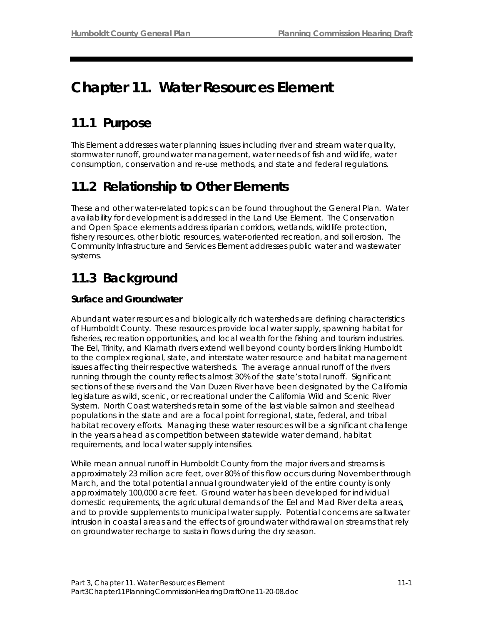# **Chapter 11. Water Resources Element**

## **11.1 Purpose**

This Element addresses water planning issues including river and stream water quality, stormwater runoff, groundwater management, water needs of fish and wildlife, water consumption, conservation and re-use methods, and state and federal regulations.

## **11.2 Relationship to Other Elements**

These and other water-related topics can be found throughout the General Plan. Water availability for development is addressed in the Land Use Element. The Conservation and Open Space elements address riparian corridors, wetlands, wildlife protection, fishery resources, other biotic resources, water-oriented recreation, and soil erosion. The Community Infrastructure and Services Element addresses public water and wastewater systems.

## **11.3 Background**

## **Surface and Groundwater**

Abundant water resources and biologically rich watersheds are defining characteristics of Humboldt County. These resources provide local water supply, spawning habitat for fisheries, recreation opportunities, and local wealth for the fishing and tourism industries. The Eel, Trinity, and Klamath rivers extend well beyond county borders linking Humboldt to the complex regional, state, and interstate water resource and habitat management issues affecting their respective watersheds. The average annual runoff of the rivers running through the county reflects almost 30% of the state's total runoff. Significant sections of these rivers and the Van Duzen River have been designated by the California legislature as wild, scenic, or recreational under the California Wild and Scenic River System. North Coast watersheds retain some of the last viable salmon and steelhead populations in the state and are a focal point for regional, state, federal, and tribal habitat recovery efforts. Managing these water resources will be a significant challenge in the years ahead as competition between statewide water demand, habitat requirements, and local water supply intensifies.

While mean annual runoff in Humboldt County from the major rivers and streams is approximately 23 million acre feet, over 80% of this flow occurs during November through March, and the total potential annual groundwater yield of the entire county is only approximately 100,000 acre feet. Ground water has been developed for individual domestic requirements, the agricultural demands of the Eel and Mad River delta areas, and to provide supplements to municipal water supply. Potential concerns are saltwater intrusion in coastal areas and the effects of groundwater withdrawal on streams that rely on groundwater recharge to sustain flows during the dry season.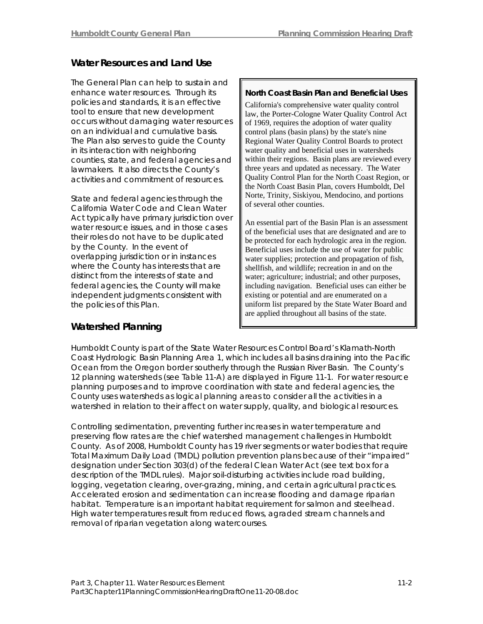## **Water Resources and Land Use**

The General Plan can help to sustain and enhance water resources. Through its policies and standards, it is an effective tool to ensure that new development occurs without damaging water resources on an individual and cumulative basis. The Plan also serves to guide the County in its interaction with neighboring counties, state, and federal agencies and lawmakers. It also directs the County's activities and commitment of resources.

State and federal agencies through the norte, Finity, Siskiyou, and Clear Motor California Water Code and Clean Water Act typically have primary jurisdiction over water resource issues, and in those cases their roles do not have to be duplicated by the County. In the event of overlapping jurisdiction or in instances where the County has interests that are distinct from the interests of state and federal agencies, the County will make independent judgments consistent with the policies of this Plan.

#### **North Coast Basin Plan and Beneficial Uses**

California's comprehensive water quality control law, the Porter-Cologne Water Quality Control Act of 1969, requires the adoption of water quality control plans (basin plans) by the state's nine Regional Water Quality Control Boards to protect water quality and beneficial uses in watersheds within their regions. Basin plans are reviewed every three years and updated as necessary. The Water Quality Control Plan for the North Coast Region, or the North Coast Basin Plan, covers Humboldt, Del Norte, Trinity, Siskiyou, Mendocino, and portions

An essential part of the Basin Plan is an assessment of the beneficial uses that are designated and are to be protected for each hydrologic area in the region. Beneficial uses include the use of water for public water supplies; protection and propagation of fish, shellfish, and wildlife; recreation in and on the water; agriculture; industrial; and other purposes, including navigation. Beneficial uses can either be existing or potential and are enumerated on a uniform list prepared by the State Water Board and are applied throughout all basins of the state.

### **Watershed Planning**

Humboldt County is part of the State Water Resources Control Board's Klamath-North Coast Hydrologic Basin Planning Area 1, which includes all basins draining into the Pacific Ocean from the Oregon border southerly through the Russian River Basin. The County's 12 planning watersheds (see Table 11-A) are displayed in Figure 11-1. For water resource planning purposes and to improve coordination with state and federal agencies, the County uses watersheds as logical planning areas to consider all the activities in a watershed in relation to their affect on water supply, quality, and biological resources.

Controlling sedimentation, preventing further increases in water temperature and preserving flow rates are the chief watershed management challenges in Humboldt County. As of 2008, Humboldt County has 19 river segments or water bodies that require Total Maximum Daily Load (TMDL) pollution prevention plans because of their "impaired" designation under Section 303(d) of the federal Clean Water Act (see text box for a description of the TMDL rules). Major soil-disturbing activities include road building, logging, vegetation clearing, over-grazing, mining, and certain agricultural practices. Accelerated erosion and sedimentation can increase flooding and damage riparian habitat. Temperature is an important habitat requirement for salmon and steelhead. High water temperatures result from reduced flows, agraded stream channels and removal of riparian vegetation along watercourses.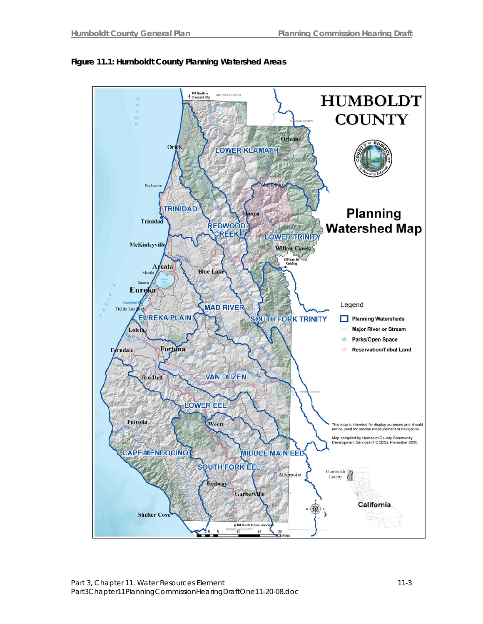

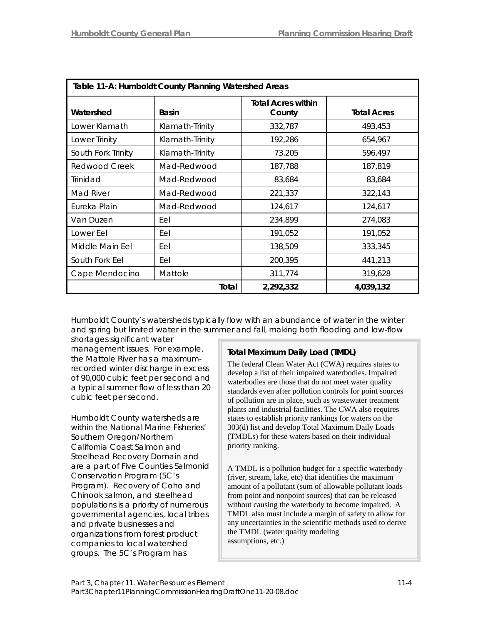| Table 11-A: Humboldt County Planning Watershed Areas |                 |                                     |                    |
|------------------------------------------------------|-----------------|-------------------------------------|--------------------|
| Watershed                                            | <b>Basin</b>    | <b>Total Acres within</b><br>County | <b>Total Acres</b> |
| Lower Klamath                                        | Klamath-Trinity | 332,787                             | 493,453            |
| Lower Trinity                                        | Klamath-Trinity | 192,286                             | 654,967            |
| South Fork Trinity                                   | Klamath-Trinity | 73,205                              | 596,497            |
| Redwood Creek                                        | Mad-Redwood     | 187,788                             | 187,819            |
| Trinidad                                             | Mad-Redwood     | 83,684                              | 83,684             |
| Mad River                                            | Mad-Redwood     | 221,337                             | 322,143            |
| Eureka Plain                                         | Mad-Redwood     | 124,617                             | 124,617            |
| Van Duzen                                            | Eel             | 234,899                             | 274,083            |
| Lower Eel                                            | Eel             | 191,052                             | 191,052            |
| Middle Main Eel                                      | Eel             | 138,509                             | 333,345            |
| South Fork Eel                                       | Eel             | 200,395                             | 441,213            |
| Cape Mendocino                                       | Mattole         | 311,774                             | 319,628            |
| Total                                                |                 | 2,292,332                           | 4,039,132          |

Humboldt County's watersheds typically flow with an abundance of water in the winter and spring but limited water in the summer and fall, making both flooding and low-flow

shortages significant water management issues. For example, the Mattole River has a maximumrecorded winter discharge in excess of 90,000 cubic feet per second and a typical summer flow of less than 20 cubic feet per second.

Humboldt County watersheds are within the National Marine Fisheries' Southern Oregon/Northern California Coast Salmon and Steelhead Recovery Domain and are a part of Five Counties Salmonid Conservation Program (5C's Program). Recovery of Coho and Chinook salmon, and steelhead populations is a priority of numerous governmental agencies, local tribes and private businesses and organizations from forest product companies to local watershed groups. The 5C's Program has

### **Total Maximum Daily Load (TMDL)**

The federal Clean Water Act (CWA) requires states to develop a list of their impaired waterbodies. Impaired waterbodies are those that do not meet water quality standards even after pollution controls for point sources of pollution are in place, such as wastewater treatment plants and industrial facilities. The CWA also requires states to establish priority rankings for waters on the 303(d) list and develop Total Maximum Daily Loads (TMDLs) for these waters based on their individual priority ranking.

A TMDL is a pollution budget for a specific waterbody (river, stream, lake, etc) that identifies the maximum amount of a pollutant (sum of allowable pollutant loads from point and nonpoint sources) that can be released without causing the waterbody to become impaired. A TMDL also must include a margin of safety to allow for any uncertainties in the scientific methods used to derive the TMDL (water quality modeling assumptions, etc.)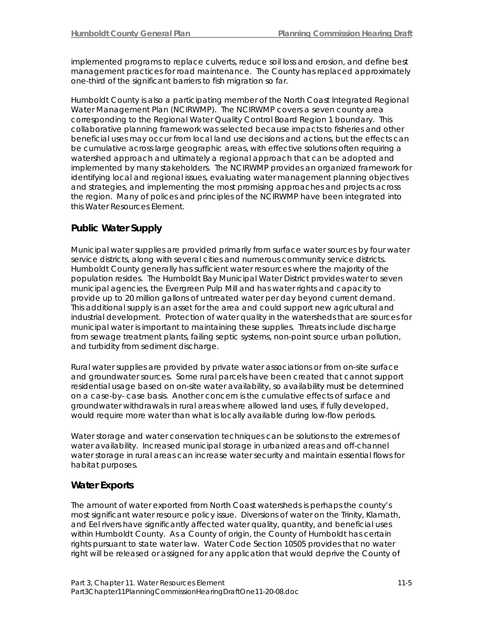implemented programs to replace culverts, reduce soil loss and erosion, and define best management practices for road maintenance. The County has replaced approximately one-third of the significant barriers to fish migration so far.

Humboldt County is also a participating member of the North Coast Integrated Regional Water Management Plan (NCIRWMP). The NCIRWMP covers a seven county area corresponding to the Regional Water Quality Control Board Region 1 boundary. This collaborative planning framework was selected because impacts to fisheries and other beneficial uses may occur from local land use decisions and actions, but the effects can be cumulative across large geographic areas, with effective solutions often requiring a watershed approach and ultimately a regional approach that can be adopted and implemented by many stakeholders. The NCIRWMP provides an organized framework for identifying local and regional issues, evaluating water management planning objectives and strategies, and implementing the most promising approaches and projects across the region. Many of polices and principles of the NCIRWMP have been integrated into this Water Resources Element.

### **Public Water Supply**

Municipal water supplies are provided primarily from surface water sources by four water service districts, along with several cities and numerous community service districts. Humboldt County generally has sufficient water resources where the majority of the population resides. The Humboldt Bay Municipal Water District provides water to seven municipal agencies, the Evergreen Pulp Mill and has water rights and capacity to provide up to 20 million gallons of untreated water per day beyond current demand. This additional supply is an asset for the area and could support new agricultural and industrial development. Protection of water quality in the watersheds that are sources for municipal water is important to maintaining these supplies. Threats include discharge from sewage treatment plants, failing septic systems, non-point source urban pollution, and turbidity from sediment discharge.

Rural water supplies are provided by private water associations or from on-site surface and groundwater sources. Some rural parcels have been created that cannot support residential usage based on on-site water availability, so availability must be determined on a case-by- case basis. Another concern is the cumulative effects of surface and groundwater withdrawals in rural areas where allowed land uses, if fully developed, would require more water than what is locally available during low-flow periods.

Water storage and water conservation techniques can be solutions to the extremes of water availability. Increased municipal storage in urbanized areas and off-channel water storage in rural areas can increase water security and maintain essential flows for habitat purposes.

### **Water Exports**

The amount of water exported from North Coast watersheds is perhaps the county's most significant water resource policy issue. Diversions of water on the Trinity, Klamath, and Eel rivers have significantly affected water quality, quantity, and beneficial uses within Humboldt County. As a County of origin, the County of Humboldt has certain rights pursuant to state water law. Water Code Section 10505 provides that no water right will be released or assigned for any application that would deprive the County of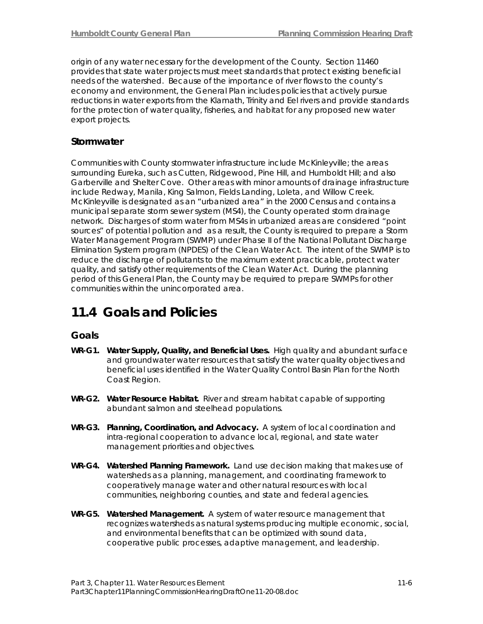origin of any water necessary for the development of the County. Section 11460 provides that state water projects must meet standards that protect existing beneficial needs of the watershed. Because of the importance of river flows to the county's economy and environment, the General Plan includes policies that actively pursue reductions in water exports from the Klamath, Trinity and Eel rivers and provide standards for the protection of water quality, fisheries, and habitat for any proposed new water export projects.

### **Stormwater**

Communities with County stormwater infrastructure include McKinleyville; the areas surrounding Eureka, such as Cutten, Ridgewood, Pine Hill, and Humboldt Hill; and also Garberville and Shelter Cove. Other areas with minor amounts of drainage infrastructure include Redway, Manila, King Salmon, Fields Landing, Loleta, and Willow Creek. McKinleyville is designated as an "urbanized area" in the 2000 Census and contains a municipal separate storm sewer system (MS4), the County operated storm drainage network. Discharges of storm water from MS4s in urbanized areas are considered "point sources" of potential pollution and as a result, the County is required to prepare a Storm Water Management Program (SWMP) under Phase II of the National Pollutant Discharge Elimination System program (NPDES) of the Clean Water Act. The intent of the SWMP is to reduce the discharge of pollutants to the maximum extent practicable, protect water quality, and satisfy other requirements of the Clean Water Act. During the planning period of this General Plan, the County may be required to prepare SWMPs for other communities within the unincorporated area.

## **11.4 Goals and Policies**

### **Goals**

- **WR-G1. Water Supply, Quality, and Beneficial Uses.** High quality and abundant surface and groundwater water resources that satisfy the water quality objectives and beneficial uses identified in the Water Quality Control Basin Plan for the North Coast Region.
- **WR-G2. Water Resource Habitat.** River and stream habitat capable of supporting abundant salmon and steelhead populations.
- **WR-G3. Planning, Coordination, and Advocacy.** A system of local coordination and intra-regional cooperation to advance local, regional, and state water management priorities and objectives.
- **WR-G4. Watershed Planning Framework.** Land use decision making that makes use of watersheds as a planning, management, and coordinating framework to cooperatively manage water and other natural resources with local communities, neighboring counties, and state and federal agencies.
- **WR-G5. Watershed Management.** A system of water resource management that recognizes watersheds as natural systems producing multiple economic, social, and environmental benefits that can be optimized with sound data, cooperative public processes, adaptive management, and leadership.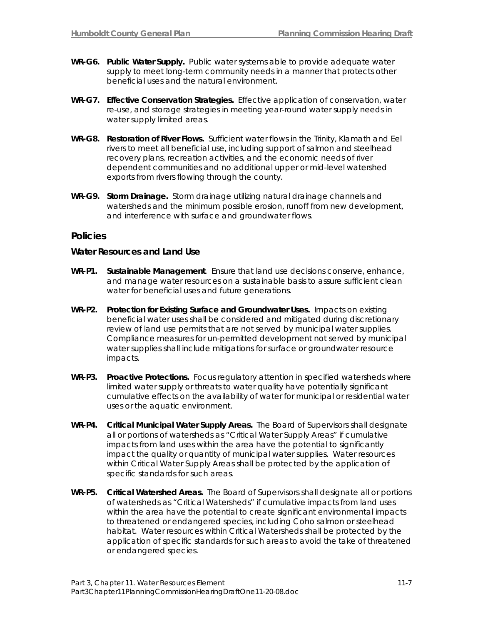- **WR-G6. Public Water Supply.** Public water systems able to provide adequate water supply to meet long-term community needs in a manner that protects other beneficial uses and the natural environment.
- **WR-G7. Effective Conservation Strategies.** Effective application of conservation, water re-use, and storage strategies in meeting year-round water supply needs in water supply limited areas.
- **WR-G8. Restoration of River Flows.** Sufficient water flows in the Trinity, Klamath and Eel rivers to meet all beneficial use, including support of salmon and steelhead recovery plans, recreation activities, and the economic needs of river dependent communities and no additional upper or mid-level watershed exports from rivers flowing through the county.
- **WR-G9. Storm Drainage.** Storm drainage utilizing natural drainage channels and watersheds and the minimum possible erosion, runoff from new development, and interference with surface and groundwater flows.

#### **Policies**

#### **Water Resources and Land Use**

- **WR-P1. Sustainable Management**. Ensure that land use decisions conserve, enhance, and manage water resources on a sustainable basis to assure sufficient clean water for beneficial uses and future generations.
- **WR-P2. Protection for Existing Surface and Groundwater Uses.** Impacts on existing beneficial water uses shall be considered and mitigated during discretionary review of land use permits that are not served by municipal water supplies. Compliance measures for un-permitted development not served by municipal water supplies shall include mitigations for surface or groundwater resource impacts.
- **WR-P3. Proactive Protections.** Focus regulatory attention in specified watersheds where limited water supply or threats to water quality have potentially significant cumulative effects on the availability of water for municipal or residential water uses or the aquatic environment.
- **WR-P4. Critical Municipal Water Supply Areas.** The Board of Supervisors shall designate all or portions of watersheds as "Critical Water Supply Areas" if cumulative impacts from land uses within the area have the potential to significantly impact the quality or quantity of municipal water supplies. Water resources within Critical Water Supply Areas shall be protected by the application of specific standards for such areas.
- **WR-P5. Critical Watershed Areas.** The Board of Supervisors shall designate all or portions of watersheds as "Critical Watersheds" if cumulative impacts from land uses within the area have the potential to create significant environmental impacts to threatened or endangered species, including Coho salmon or steelhead habitat. Water resources within Critical Watersheds shall be protected by the application of specific standards for such areas to avoid the take of threatened or endangered species.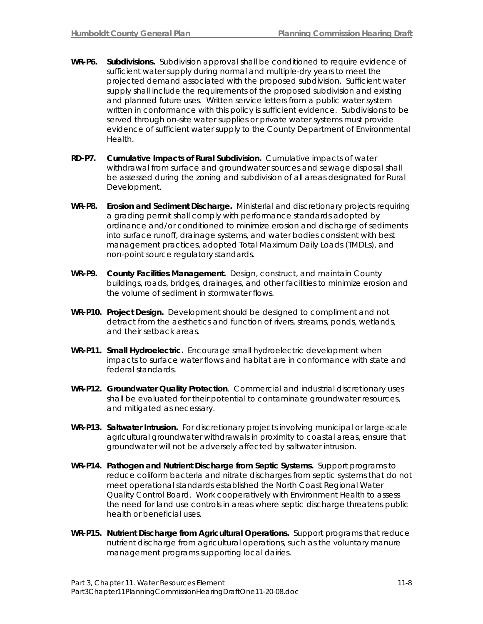- **WR-P6. Subdivisions.** Subdivision approval shall be conditioned to require evidence of sufficient water supply during normal and multiple-dry years to meet the projected demand associated with the proposed subdivision. Sufficient water supply shall include the requirements of the proposed subdivision and existing and planned future uses. Written service letters from a public water system written in conformance with this policy is sufficient evidence. Subdivisions to be served through on-site water supplies or private water systems must provide evidence of sufficient water supply to the County Department of Environmental Health.
- **RD-P7. Cumulative Impacts of Rural Subdivision.** Cumulative impacts of water withdrawal from surface and groundwater sources and sewage disposal shall be assessed during the zoning and subdivision of all areas designated for Rural Development.
- **WR-P8. Erosion and Sediment Discharge.** Ministerial and discretionary projects requiring a grading permit shall comply with performance standards adopted by ordinance and/or conditioned to minimize erosion and discharge of sediments into surface runoff, drainage systems, and water bodies consistent with best management practices, adopted Total Maximum Daily Loads (TMDLs), and non-point source regulatory standards.
- **WR-P9. County Facilities Management.** Design, construct, and maintain County buildings, roads, bridges, drainages, and other facilities to minimize erosion and the volume of sediment in stormwater flows.
- **WR-P10. Project Design.** Development should be designed to compliment and not detract from the aesthetics and function of rivers, streams, ponds, wetlands, and their setback areas.
- **WR-P11. Small Hydroelectric.** Encourage small hydroelectric development when impacts to surface water flows and habitat are in conformance with state and federal standards.
- **WR-P12. Groundwater Quality Protection**. Commercial and industrial discretionary uses shall be evaluated for their potential to contaminate groundwater resources, and mitigated as necessary.
- **WR-P13. Saltwater Intrusion.** For discretionary projects involving municipal or large-scale agricultural groundwater withdrawals in proximity to coastal areas, ensure that groundwater will not be adversely affected by saltwater intrusion.
- **WR-P14. Pathogen and Nutrient Discharge from Septic Systems.** Support programs to reduce coliform bacteria and nitrate discharges from septic systems that do not meet operational standards established the North Coast Regional Water Quality Control Board. Work cooperatively with Environment Health to assess the need for land use controls in areas where septic discharge threatens public health or beneficial uses.
- **WR-P15. Nutrient Discharge from Agricultural Operations.** Support programs that reduce nutrient discharge from agricultural operations, such as the voluntary manure management programs supporting local dairies.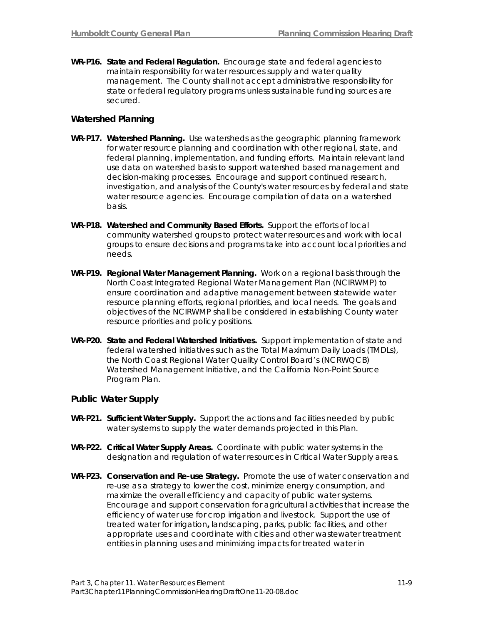**WR-P16. State and Federal Regulation.** Encourage state and federal agencies to maintain responsibility for water resources supply and water quality management. The County shall not accept administrative responsibility for state or federal regulatory programs unless sustainable funding sources are secured.

#### **Watershed Planning**

- **WR-P17. Watershed Planning.** Use watersheds as the geographic planning framework for water resource planning and coordination with other regional, state, and federal planning, implementation, and funding efforts.Maintain relevant land use data on watershed basis to support watershed based management and decision-making processes. Encourage and support continued research, investigation, and analysis of the County's water resources by federal and state water resource agencies. Encourage compilation of data on a watershed basis.
- **WR-P18. Watershed and Community Based Efforts.** Support the efforts of local community watershed groups to protect water resources and work with local groups to ensure decisions and programs take into account local priorities and needs.
- **WR-P19. Regional Water Management Planning.** Work on a regional basis through the North Coast Integrated Regional Water Management Plan (NCIRWMP) to ensure coordination and adaptive management between statewide water resource planning efforts, regional priorities, and local needs.The goals and objectives of the NCIRWMP shall be considered in establishing County water resource priorities and policy positions.
- **WR-P20. State and Federal Watershed Initiatives.** Support implementation of state and federal watershed initiatives such as the Total Maximum Daily Loads (TMDLs), the North Coast Regional Water Quality Control Board's (NCRWQCB) Watershed Management Initiative, and the California Non-Point Source Program Plan.

#### **Public Water Supply**

- **WR-P21. Sufficient Water Supply.** Support the actions and facilities needed by public water systems to supply the water demands projected in this Plan.
- **WR-P22. Critical Water Supply Areas.** Coordinate with public water systems in the designation and regulation of water resources in Critical Water Supply areas.
- **WR-P23. Conservation and Re-use Strategy.** Promote the use of water conservation and re-use as a strategy to lower the cost, minimize energy consumption, and maximize the overall efficiency and capacity of public water systems. Encourage and support conservation for agricultural activities that increase the efficiency of water use for crop irrigation and livestock.Support the use of treated water for irrigation*,* landscaping, parks, public facilities, and other appropriate uses and coordinate with cities and other wastewater treatment entities in planning uses and minimizing impacts for treated water in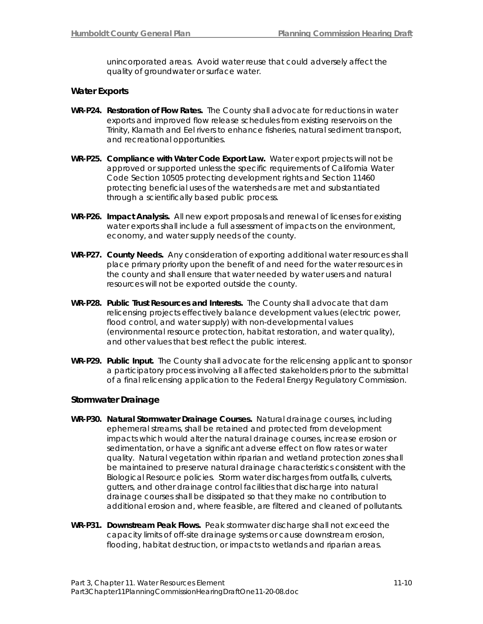unincorporated areas. Avoid water reuse that could adversely affect the quality of groundwater or surface water.

#### **Water Exports**

- **WR-P24. Restoration of Flow Rates.** The County shall advocate for reductions in water exports and improved flow release schedules from existing reservoirs on the Trinity, Klamath and Eel rivers to enhance fisheries, natural sediment transport, and recreational opportunities.
- **WR-P25. Compliance with Water Code Export Law.** Water export projects will not be approved or supported unless the specific requirements of California Water Code Section 10505 protecting development rights and Section 11460 protecting beneficial uses of the watersheds are met and substantiated through a scientifically based public process.
- **WR-P26. Impact Analysis.** All new export proposals and renewal of licenses for existing water exports shall include a full assessment of impacts on the environment, economy, and water supply needs of the county.
- **WR-P27. County Needs.** Any consideration of exporting additional water resources shall place primary priority upon the benefit of and need for the water resources in the county and shall ensure that water needed by water users and natural resources will not be exported outside the county.
- **WR-P28. Public Trust Resources and Interests.** The County shall advocate that dam relicensing projects effectively balance development values (electric power, flood control, and water supply) with non-developmental values (environmental resource protection, habitat restoration, and water quality), and other values that best reflect the public interest.
- **WR-P29. Public Input.** The County shall advocate for the relicensing applicant to sponsor a participatory process involving all affected stakeholders prior to the submittal of a final relicensing application to the Federal Energy Regulatory Commission.

#### **Stormwater Drainage**

- **WR-P30. Natural Stormwater Drainage Courses.** Natural drainage courses, including ephemeral streams, shall be retained and protected from development impacts which would alter the natural drainage courses, increase erosion or sedimentation, or have a significant adverse effect on flow rates or water quality. Natural vegetation within riparian and wetland protection zones shall be maintained to preserve natural drainage characteristics consistent with the Biological Resource policies. Storm water discharges from outfalls, culverts, gutters, and other drainage control facilities that discharge into natural drainage courses shall be dissipated so that they make no contribution to additional erosion and, where feasible, are filtered and cleaned of pollutants.
- **WR-P31. Downstream Peak Flows.** Peak stormwater discharge shall not exceed the capacity limits of off-site drainage systems or cause downstream erosion, flooding, habitat destruction, or impacts to wetlands and riparian areas.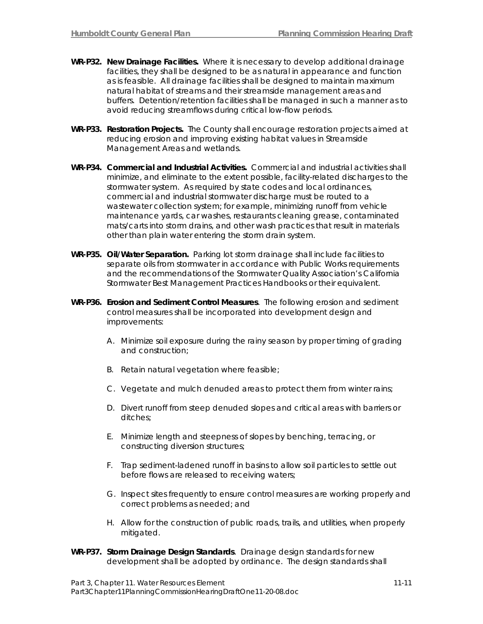- **WR-P32. New Drainage Facilities.** Where it is necessary to develop additional drainage facilities, they shall be designed to be as natural in appearance and function as is feasible. All drainage facilities shall be designed to maintain maximum natural habitat of streams and their streamside management areas and buffers. Detention/retention facilities shall be managed in such a manner as to avoid reducing streamflows during critical low-flow periods.
- **WR-P33. Restoration Projects.** The County shall encourage restoration projects aimed at reducing erosion and improving existing habitat values in Streamside Management Areas and wetlands.
- **WR-P34. Commercial and Industrial Activities.** Commercial and industrial activities shall minimize, and eliminate to the extent possible, facility-related discharges to the stormwater system. As required by state codes and local ordinances, commercial and industrial stormwater discharge must be routed to a wastewater collection system; for example, minimizing runoff from vehicle maintenance yards, car washes, restaurants cleaning grease, contaminated mats/carts into storm drains, and other wash practices that result in materials other than plain water entering the storm drain system.
- **WR-P35. Oil/Water Separation.** Parking lot storm drainage shall include facilities to separate oils from stormwater in accordance with Public Works requirements and the recommendations of the Stormwater Quality Association's California Stormwater Best Management Practices Handbooks or their equivalent.
- **WR-P36. Erosion and Sediment Control Measures**. The following erosion and sediment control measures shall be incorporated into development design and improvements:
	- A. Minimize soil exposure during the rainy season by proper timing of grading and construction;
	- B. Retain natural vegetation where feasible;
	- C. Vegetate and mulch denuded areas to protect them from winter rains;
	- D. Divert runoff from steep denuded slopes and critical areas with barriers or ditches;
	- E. Minimize length and steepness of slopes by benching, terracing, or constructing diversion structures;
	- F. Trap sediment-ladened runoff in basins to allow soil particles to settle out before flows are released to receiving waters;
	- G. Inspect sites frequently to ensure control measures are working properly and correct problems as needed; and
	- H. Allow for the construction of public roads, trails, and utilities, when properly mitigated.
- **WR-P37. Storm Drainage Design Standards**. Drainage design standards for new development shall be adopted by ordinance. The design standards shall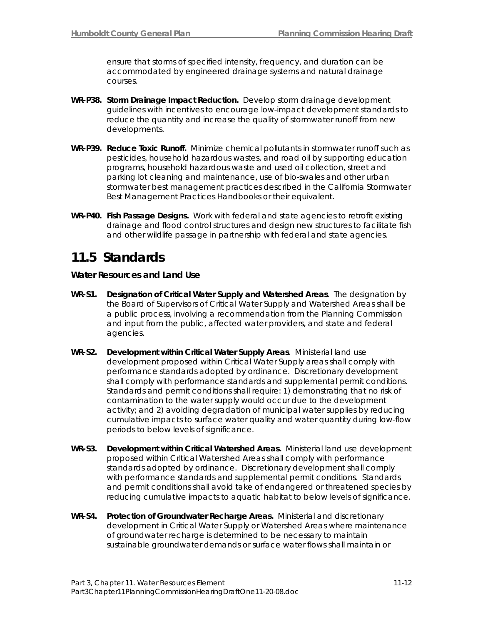ensure that storms of specified intensity, frequency, and duration can be accommodated by engineered drainage systems and natural drainage courses.

- **WR-P38. Storm Drainage Impact Reduction.** Develop storm drainage development guidelines with incentives to encourage low-impact development standards to reduce the quantity and increase the quality of stormwater runoff from new developments.
- **WR-P39. Reduce Toxic Runoff.** Minimize chemical pollutants in stormwater runoff such as pesticides, household hazardous wastes, and road oil by supporting education programs, household hazardous waste and used oil collection, street and parking lot cleaning and maintenance, use of bio-swales and other urban stormwater best management practices described in the California Stormwater Best Management Practices Handbooks or their equivalent.
- **WR-P40. Fish Passage Designs.** Work with federal and state agencies to retrofit existing drainage and flood control structures and design new structures to facilitate fish and other wildlife passage in partnership with federal and state agencies.

## **11.5 Standards**

#### **Water Resources and Land Use**

- **WR-S1. Designation of Critical Water Supply and Watershed Areas**. The designation by the Board of Supervisors of Critical Water Supply and Watershed Areas shall be a public process, involving a recommendation from the Planning Commission and input from the public, affected water providers, and state and federal agencies.
- **WR-S2. Development within Critical Water Supply Areas**. Ministerial land use development proposed within Critical Water Supply areas shall comply with performance standards adopted by ordinance. Discretionary development shall comply with performance standards and supplemental permit conditions. Standards and permit conditions shall require: 1) demonstrating that no risk of contamination to the water supply would occur due to the development activity; and 2) avoiding degradation of municipal water supplies by reducing cumulative impacts to surface water quality and water quantity during low-flow periods to below levels of significance.
- **WR-S3. Development within Critical Watershed Areas.** Ministerial land use development proposed within Critical Watershed Areas shall comply with performance standards adopted by ordinance. Discretionary development shall comply with performance standards and supplemental permit conditions. Standards and permit conditions shall avoid take of endangered or threatened species by reducing cumulative impacts to aquatic habitat to below levels of significance.
- **WR-S4. Protection of Groundwater Recharge Areas.** Ministerial and discretionary development in Critical Water Supply or Watershed Areas where maintenance of groundwater recharge is determined to be necessary to maintain sustainable groundwater demands or surface water flows shall maintain or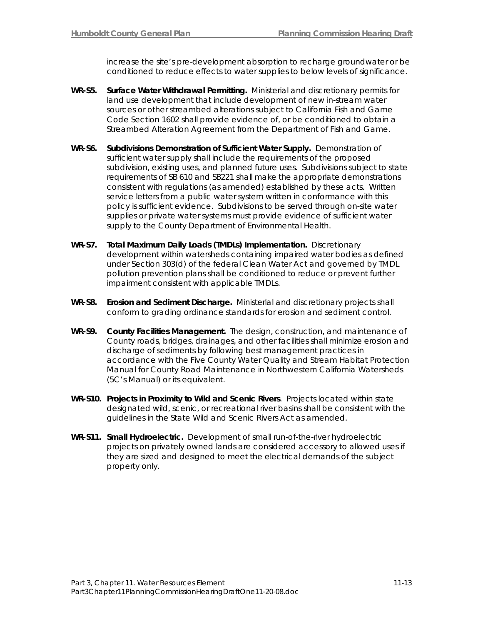increase the site's pre-development absorption to recharge groundwater or be conditioned to reduce effects to water supplies to below levels of significance.

- **WR-S5. Surface Water Withdrawal Permitting.** Ministerial and discretionary permits for land use development that include development of new in-stream water sources or other streambed alterations subject to California Fish and Game Code Section 1602 shall provide evidence of, or be conditioned to obtain a Streambed Alteration Agreement from the Department of Fish and Game.
- **WR-S6. Subdivisions Demonstration of Sufficient Water Supply.** Demonstration of sufficient water supply shall include the requirements of the proposed subdivision, existing uses, and planned future uses. Subdivisions subject to state requirements of SB 610 and SB221 shall make the appropriate demonstrations consistent with regulations (as amended) established by these acts. Written service letters from a public water system written in conformance with this policy is sufficient evidence. Subdivisions to be served through on-site water supplies or private water systems must provide evidence of sufficient water supply to the County Department of Environmental Health.
- **WR-S7. Total Maximum Daily Loads (TMDLs) Implementation.** Discretionary development within watersheds containing impaired water bodies as defined under Section 303(d) of the federal Clean Water Act and governed by TMDL pollution prevention plans shall be conditioned to reduce or prevent further impairment consistent with applicable TMDLs.
- **WR-S8. Erosion and Sediment Discharge.** Ministerial and discretionary projects shall conform to grading ordinance standards for erosion and sediment control.
- **WR-S9. County Facilities Management.** The design, construction, and maintenance of County roads, bridges, drainages, and other facilities shall minimize erosion and discharge of sediments by following best management practices in accordance with the Five County Water Quality and Stream Habitat Protection Manual for County Road Maintenance in Northwestern California Watersheds (5C's Manual) or its equivalent.
- **WR-S10. Projects in Proximity to Wild and Scenic Rivers**. Projects located within state designated wild, scenic, or recreational river basins shall be consistent with the guidelines in the State Wild and Scenic Rivers Act as amended.
- **WR-S11. Small Hydroelectric.** Development of small run-of-the-river hydroelectric projects on privately owned lands are considered accessory to allowed uses if they are sized and designed to meet the electrical demands of the subject property only.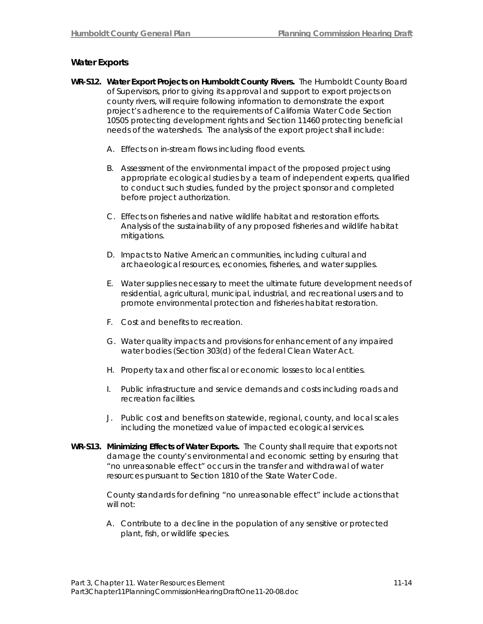#### **Water Exports**

- **WR-S12. Water Export Projects on Humboldt County Rivers.** The Humboldt County Board of Supervisors, prior to giving its approval and support to export projects on county rivers, will require following information to demonstrate the export project's adherence to the requirements of California Water Code Section 10505 protecting development rights and Section 11460 protecting beneficial needs of the watersheds. The analysis of the export project shall include:
	- A. Effects on in-stream flows including flood events.
	- B. Assessment of the environmental impact of the proposed project using appropriate ecological studies by a team of independent experts, qualified to conduct such studies, funded by the project sponsor and completed before project authorization.
	- C. Effects on fisheries and native wildlife habitat and restoration efforts. Analysis of the sustainability of any proposed fisheries and wildlife habitat mitigations.
	- D. Impacts to Native American communities, including cultural and archaeological resources, economies, fisheries, and water supplies.
	- E. Water supplies necessary to meet the ultimate future development needs of residential, agricultural, municipal, industrial, and recreational users and to promote environmental protection and fisheries habitat restoration.
	- F. Cost and benefits to recreation.
	- G. Water quality impacts and provisions for enhancement of any impaired water bodies (Section 303(d) of the federal Clean Water Act.
	- H. Property tax and other fiscal or economic losses to local entities.
	- I. Public infrastructure and service demands and costs including roads and recreation facilities.
	- J. Public cost and benefits on statewide, regional, county, and local scales including the monetized value of impacted ecological services.
- **WR-S13. Minimizing Effects of Water Exports.** The County shall require that exports not damage the county's environmental and economic setting by ensuring that "no unreasonable effect" occurs in the transfer and withdrawal of water resources pursuant to Section 1810 of the State Water Code.

County standards for defining "no unreasonable effect" include actions that will not:

A. Contribute to a decline in the population of any sensitive or protected plant, fish, or wildlife species.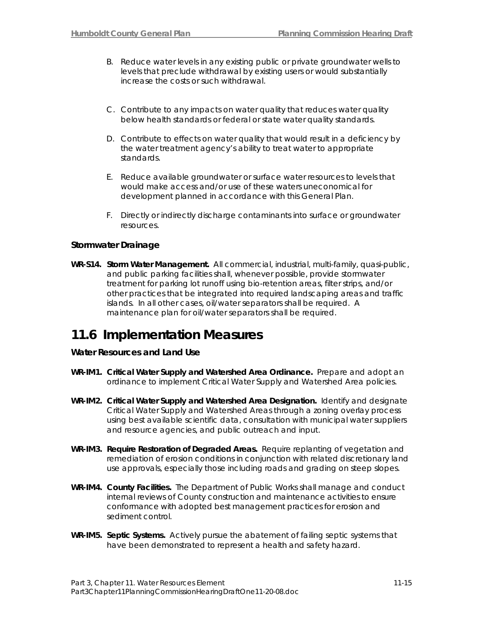- B. Reduce water levels in any existing public or private groundwater wells to levels that preclude withdrawal by existing users or would substantially increase the costs or such withdrawal.
- C. Contribute to any impacts on water quality that reduces water quality below health standards or federal or state water quality standards.
- D. Contribute to effects on water quality that would result in a deficiency by the water treatment agency's ability to treat water to appropriate standards.
- E. Reduce available groundwater or surface water resources to levels that would make access and/or use of these waters uneconomical for development planned in accordance with this General Plan.
- F. Directly or indirectly discharge contaminants into surface or groundwater resources.

#### **Stormwater Drainage**

**WR-S14. Storm Water Management.** All commercial, industrial, multi-family, quasi-public, and public parking facilities shall, whenever possible, provide stormwater treatment for parking lot runoff using bio-retention areas, filter strips, and/or other practices that be integrated into required landscaping areas and traffic islands. In all other cases, oil/water separators shall be required. A maintenance plan for oil/water separators shall be required.

## **11.6 Implementation Measures**

#### **Water Resources and Land Use**

- **WR-IM1. Critical Water Supply and Watershed Area Ordinance.** Prepare and adopt an ordinance to implement Critical Water Supply and Watershed Area policies.
- **WR-IM2. Critical Water Supply and Watershed Area Designation.** Identify and designate Critical Water Supply and Watershed Areas through a zoning overlay process using best available scientific data, consultation with municipal water suppliers and resource agencies, and public outreach and input.
- **WR-IM3. Require Restoration of Degraded Areas***.* Require replanting of vegetation and remediation of erosion conditions in conjunction with related discretionary land use approvals, especially those including roads and grading on steep slopes.
- **WR-IM4. County Facilities.** The Department of Public Works shall manage and conduct internal reviews of County construction and maintenance activities to ensure conformance with adopted best management practices for erosion and sediment control.
- **WR-IM5. Septic Systems.** Actively pursue the abatement of failing septic systems that have been demonstrated to represent a health and safety hazard.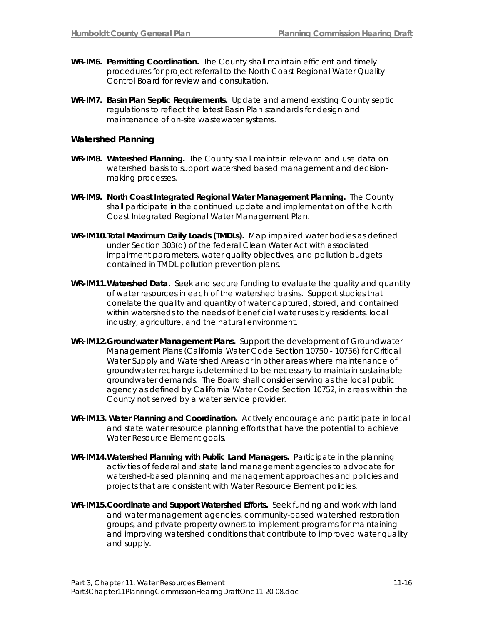- **WR-IM6. Permitting Coordination.** The County shall maintain efficient and timely procedures for project referral to the North Coast Regional Water Quality Control Board for review and consultation.
- **WR-IM7. Basin Plan Septic Requirements.** Update and amend existing County septic regulations to reflect the latest Basin Plan standards for design and maintenance of on-site wastewater systems.

#### **Watershed Planning**

- **WR-IM8. Watershed Planning.** The County shall maintain relevant land use data on watershed basis to support watershed based management and decisionmaking processes.
- **WR-IM9. North Coast Integrated Regional Water Management Planning.** The County shall participate in the continued update and implementation of the North Coast Integrated Regional Water Management Plan.
- **WR-IM10.Total Maximum Daily Loads (TMDLs).** Map impaired water bodies as defined under Section 303(d) of the federal Clean Water Act with associated impairment parameters, water quality objectives, and pollution budgets contained in TMDL pollution prevention plans.
- **WR-IM11. Watershed Data.** Seek and secure funding to evaluate the quality and quantity of water resources in each of the watershed basins. Support studies that correlate the quality and quantity of water captured, stored, and contained within watersheds to the needs of beneficial water uses by residents, local industry, agriculture, and the natural environment.
- **WR-IM12.Groundwater Management Plans.** Support the development of Groundwater Management Plans (California Water Code Section 10750 - 10756) for Critical Water Supply and Watershed Areas or in other areas where maintenance of groundwater recharge is determined to be necessary to maintain sustainable groundwater demands. The Board shall consider serving as the local public agency as defined by California Water Code Section 10752, in areas within the County not served by a water service provider.
- **WR-IM13. Water Planning and Coordination.** Actively encourage and participate in local and state water resource planning efforts that have the potential to achieve Water Resource Element goals.
- **WR-IM14. Watershed Planning with Public Land Managers.** Participate in the planning activities of federal and state land management agencies to advocate for watershed-based planning and management approaches and policies and projects that are consistent with Water Resource Element policies.
- **WR-IM15. Coordinate and Support Watershed Efforts***.* Seek funding and work with land and water management agencies, community-based watershed restoration groups, and private property owners to implement programs for maintaining and improving watershed conditions that contribute to improved water quality and supply.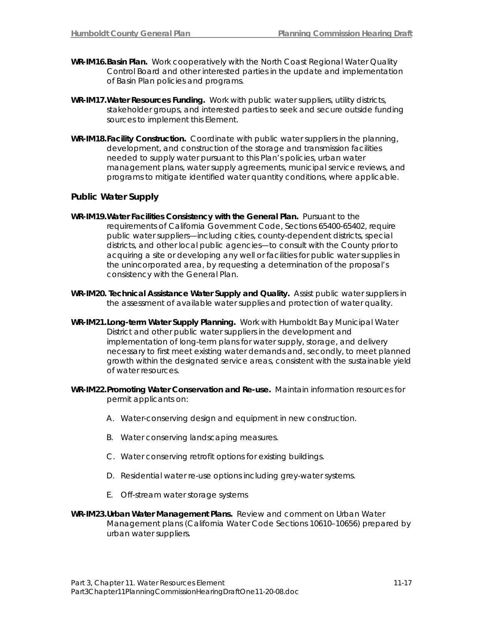- **WR-IM16. Basin Plan.** Work cooperatively with the North Coast Regional Water Quality Control Board and other interested parties in the update and implementation of Basin Plan policies and programs.
- **WR-IM17. Water Resources Funding.** Work with public water suppliers, utility districts, stakeholder groups, and interested parties to seek and secure outside funding sources to implement this Element.
- **WR-IM18. Facility Construction.** Coordinate with public water suppliers in the planning, development, and construction of the storage and transmission facilities needed to supply water pursuant to this Plan's policies, urban water management plans, water supply agreements, municipal service reviews, and programs to mitigate identified water quantity conditions, where applicable.

#### **Public Water Supply**

- **WR-IM19. Water Facilities Consistency with the General Plan.** Pursuant to the requirements of California Government Code, Sections 65400-65402, require public water suppliers—including cities, county-dependent districts, special districts, and other local public agencies—to consult with the County prior to acquiring a site or developing any well or facilities for public water supplies in the unincorporated area, by requesting a determination of the proposal's consistency with the General Plan.
- **WR-IM20. Technical Assistance Water Supply and Quality.** Assist public water suppliers in the assessment of available water supplies and protection of water quality.
- **WR-IM21. Long-term Water Supply Planning.** Work with Humboldt Bay Municipal Water District and other public water suppliers in the development and implementation of long-term plans for water supply, storage, and delivery necessary to first meet existing water demands and, secondly, to meet planned growth within the designated service areas, consistent with the sustainable yield of water resources.
- **WR-IM22. Promoting Water Conservation and Re-use.** Maintain information resources for permit applicants on:
	- A. Water-conserving design and equipment in new construction.
	- B. Water conserving landscaping measures.
	- C. Water conserving retrofit options for existing buildings.
	- D. Residential water re-use options including grey-water systems.
	- E. Off-stream water storage systems
- **WR-IM23. Urban Water Management Plans.** Review and comment on Urban Water Management plans (California Water Code Sections 10610–10656) prepared by urban water suppliers.